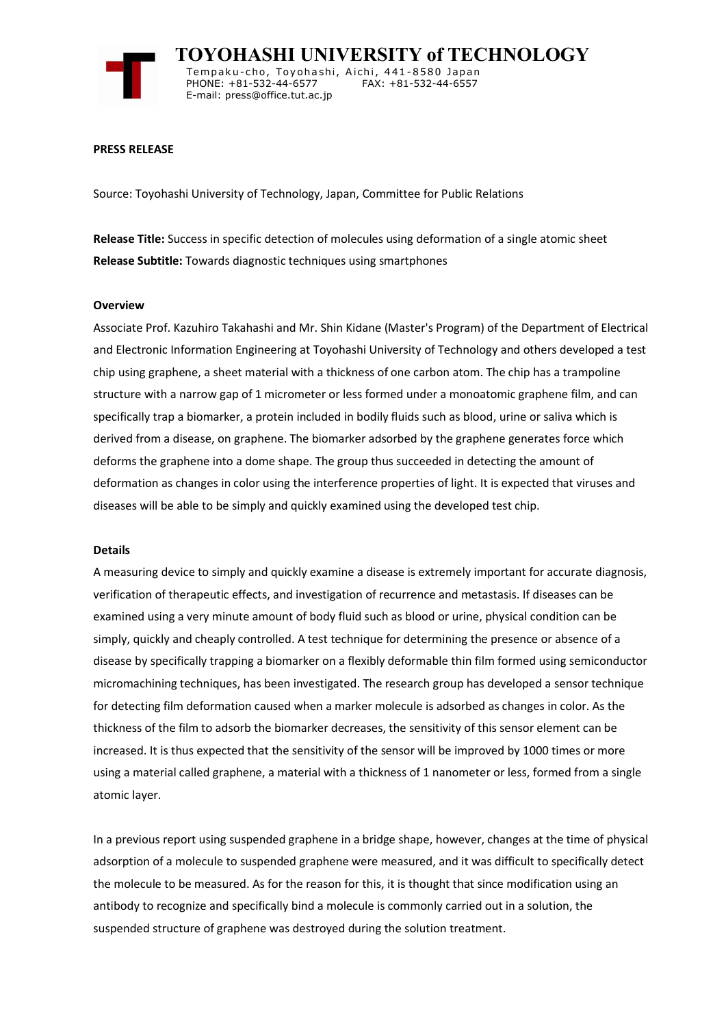

 **TOYOHASHI UNIVERSITY of TECHNOLOGY** Tempaku-cho, Toyohashi, Aichi, 441-8580 Japan<br>PHONE: +81-532-44-6577 FAX: +81-532-44-6557 PHONE: +81-532-44-6577 E-mail: press@office.tut.ac.jp

### **PRESS RELEASE**

Source: Toyohashi University of Technology, Japan, Committee for Public Relations

**Release Title:** Success in specific detection of molecules using deformation of a single atomic sheet **Release Subtitle:** Towards diagnostic techniques using smartphones

#### **Overview**

Associate Prof. Kazuhiro Takahashi and Mr. Shin Kidane (Master's Program) of the Department of Electrical and Electronic Information Engineering at Toyohashi University of Technology and others developed a test chip using graphene, a sheet material with a thickness of one carbon atom. The chip has a trampoline structure with a narrow gap of 1 micrometer or less formed under a monoatomic graphene film, and can specifically trap a biomarker, a protein included in bodily fluids such as blood, urine or saliva which is derived from a disease, on graphene. The biomarker adsorbed by the graphene generates force which deforms the graphene into a dome shape. The group thus succeeded in detecting the amount of deformation as changes in color using the interference properties of light. It is expected that viruses and diseases will be able to be simply and quickly examined using the developed test chip.

#### **Details**

A measuring device to simply and quickly examine a disease is extremely important for accurate diagnosis, verification of therapeutic effects, and investigation of recurrence and metastasis. If diseases can be examined using a very minute amount of body fluid such as blood or urine, physical condition can be simply, quickly and cheaply controlled. A test technique for determining the presence or absence of a disease by specifically trapping a biomarker on a flexibly deformable thin film formed using semiconductor micromachining techniques, has been investigated. The research group has developed a sensor technique for detecting film deformation caused when a marker molecule is adsorbed as changes in color. As the thickness of the film to adsorb the biomarker decreases, the sensitivity of this sensor element can be increased. It is thus expected that the sensitivity of the sensor will be improved by 1000 times or more using a material called graphene, a material with a thickness of 1 nanometer or less, formed from a single atomic layer.

In a previous report using suspended graphene in a bridge shape, however, changes at the time of physical adsorption of a molecule to suspended graphene were measured, and it was difficult to specifically detect the molecule to be measured. As for the reason for this, it is thought that since modification using an antibody to recognize and specifically bind a molecule is commonly carried out in a solution, the suspended structure of graphene was destroyed during the solution treatment.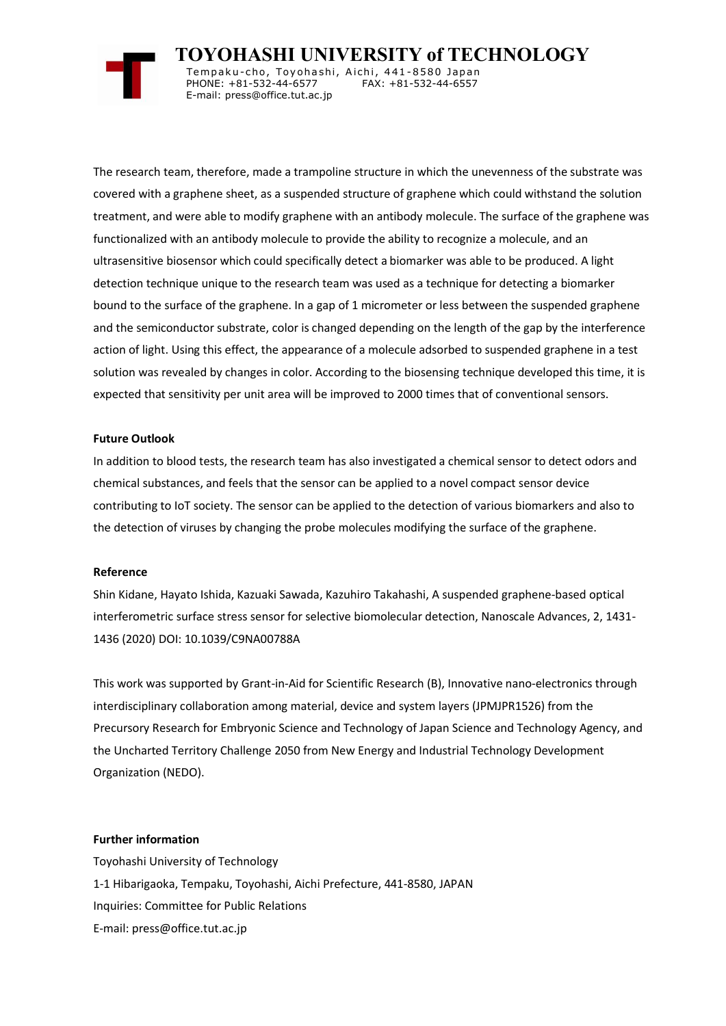

 **TOYOHASHI UNIVERSITY of TECHNOLOGY** Tempaku-cho, Toyohashi, Aichi, 441-8580 Japan<br>PHONE: +81-532-44-6577 FAX: +81-532-44-6557 PHONE: +81-532-44-6577

E-mail: press@office.tut.ac.jp

The research team, therefore, made a trampoline structure in which the unevenness of the substrate was covered with a graphene sheet, as a suspended structure of graphene which could withstand the solution treatment, and were able to modify graphene with an antibody molecule. The surface of the graphene was functionalized with an antibody molecule to provide the ability to recognize a molecule, and an ultrasensitive biosensor which could specifically detect a biomarker was able to be produced. A light detection technique unique to the research team was used as a technique for detecting a biomarker bound to the surface of the graphene. In a gap of 1 micrometer or less between the suspended graphene and the semiconductor substrate, color is changed depending on the length of the gap by the interference action of light. Using this effect, the appearance of a molecule adsorbed to suspended graphene in a test solution was revealed by changes in color. According to the biosensing technique developed this time, it is expected that sensitivity per unit area will be improved to 2000 times that of conventional sensors.

# **Future Outlook**

In addition to blood tests, the research team has also investigated a chemical sensor to detect odors and chemical substances, and feels that the sensor can be applied to a novel compact sensor device contributing to IoT society. The sensor can be applied to the detection of various biomarkers and also to the detection of viruses by changing the probe molecules modifying the surface of the graphene.

## **Reference**

Shin Kidane, Hayato Ishida, Kazuaki Sawada, Kazuhiro Takahashi, A suspended graphene-based optical interferometric surface stress sensor for selective biomolecular detection, Nanoscale Advances, 2, 1431- 1436 (2020) DOI: 10.1039/C9NA00788A

This work was supported by Grant-in-Aid for Scientific Research (B), Innovative nano-electronics through interdisciplinary collaboration among material, device and system layers (JPMJPR1526) from the Precursory Research for Embryonic Science and Technology of Japan Science and Technology Agency, and the Uncharted Territory Challenge 2050 from New Energy and Industrial Technology Development Organization (NEDO).

## **Further information**

Toyohashi University of Technology 1-1 Hibarigaoka, Tempaku, Toyohashi, Aichi Prefecture, 441-8580, JAPAN Inquiries: Committee for Public Relations E-mail: press@office.tut.ac.jp